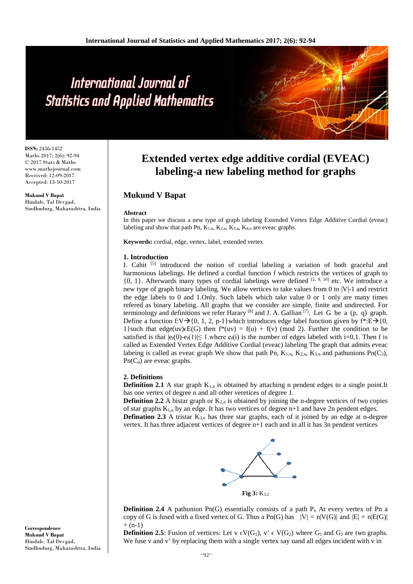# International Journal of **Statistics and Applied Mathematics**

**ISSN:** 2456-1452 Maths 2017; 2(6): 92-94 © 2017 Stats & Maths www.mathsjournal.com Received: 12-09-2017 Accepted: 13-10-2017

**Mukund V Bapat** Hindale, Tal Devgad, Sindhudurg, Maharashtra, India

## **Extended vertex edge additive cordial (EVEAC) labeling-a new labeling method for graphs**

### **Mukund V Bapat**

#### **Abstract**

In this paper we discuss a new type of graph labeling Extended Vertex Edge Additive Cordial (eveac) labeling and show that path Pn,  $K_{1,n}$ ,  $K_{2,n}$ ,  $K_{3,n}$ ,  $K_{4,n}$  are eveac graphs.

**Keywords:** cordial, edge, vertex, label, extended vertex

#### **1. Introduction**

I. Cahit  $\left[5\right]$  introduced the notion of cordial labeling a variation of both graceful and harmonious labelings. He defined a cordial function f which restricts the vertices of graph to  ${0, 1}$ . Afterwards many types of cordial labelings were defined  $[2, 9, 10]$  etc. We introduce a new type of graph binary labeling. We allow vertices to take values from 0 to |V|-1 and restrict the edge labels to 0 and 1.Only. Such labels which take value 0 or 1 only are many times refered as binary labeling. All graphs that we consider are simple, finite and undirected. For terminology and definitions we refer Harary <sup>[8]</sup> and J. A. Gallian  $^{[7]}$ . Let G be a (p, q) graph. Define a function f:V $\rightarrow$ {0, 1, 2, p-1}which introduces edge label function given by f\*:E $\rightarrow$ {0, 1}such that edge(uv) $\epsilon E(G)$  then  $f^*(uv) = f(u) + f(v)$  (mod 2). Further the condition to be satisfied is that  $|e_i(0)-e_i(1)| \leq 1$ , where  $e_i(i)$  is the number of edges labeled with i=0,1. Then f is called as Extended Vertex Edge Additive Cordial (eveac) labeling The graph that admits eveac labeing is called as eveac graph We show that path Pn,  $K_{1,n}$ ,  $K_{2,n}$ ,  $K_{3,n}$  and pathunions Pn(C<sub>3</sub>), Pn(C4) are eveac graphs.

#### **2. Definitions**

**Definition 2.1** A star graph  $K_{1,n}$  is obtained by attaching n pendent edges to a single point.It has one vertex of degree n and all other veretices of degree 1.

**Definition 2.2** A bistar graph or  $K_{2n}$  is obtained by joining the n-degree vertices of two copies of star graphs  $K_{1,n}$  by an edge. It has two vertices of degree  $n+1$  and have 2n pendent edges. **Defination 2.3** A tristar  $K_{3,n}$  has three star graphs, each of it joined by an edge at n-degree vertex. It has three adjacent vertices of degree n+1 each and in all it has 3n pendent vertices



**Definition 2.4** A pathunion Pn(G) essentially consists of a path  $P_n$  At every vertex of Pn a copy of G is fused with a fixed vertex of G. Thus a Pn(G) has  $|V| = n|V(G)|$  and  $|E| = n|E(G)|$  $+ (n-1)$ 

**Definition 2.5**: Fusion of vertices: Let v  $\epsilon V(G_1)$ , v'  $\epsilon V(G_2)$  where  $G_1$  and  $G_2$  are two graphs. We fuse v and v' by replacing them with a single vertex say uand all edges incident with v in

**Correspondence Mukund V Bapat** Hindale, Tal Devgad, Sindhudurg, Maharashtra, India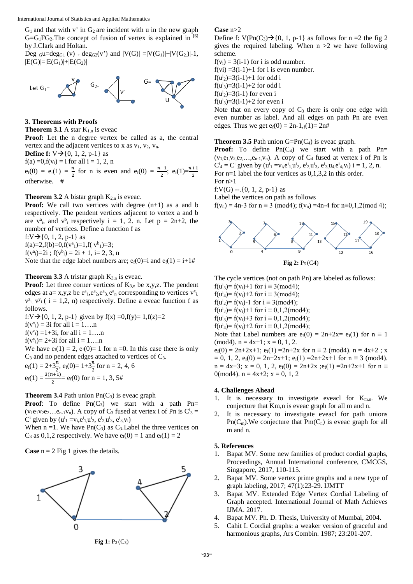$G_1$  and that with v' in  $G_2$  are incident with u in the new graph  $G = G_1FG_2$ . The concept of fusion of vertex is explained in [6] by J.Clark and Holtan.

Deg  $_Gu=deg_{G1}(v)$  +  $deg_{G2}(v')$  and  $|V(G)| = |V(G_1)|+|V(G_2)|-1$ ,  $|E(G)|=|E(G_1)|+|E(G_2)|$ 



**3. Theorems with Proofs**

**Theorem 3.1** A star  $K_{1,n}$  is eveac

**Proof:** Let the n degree vertex be called as a, the central vertex and the adjacent vertices to x as  $v_1$ ,  $v_2$ ,  $v_n$ .

**Define f:**  $V \rightarrow \{0, 1, 2, p-1\}$  as

 $f(a) = 0, f(v_i) = i$  for all  $i = 1, 2, n$ 

 $e_f(0) = e_f(1) = \frac{n}{2}$  for n is even and  $e_f(0) = \frac{n-1}{2}$ ;  $e_f(1) = \frac{n+1}{2}$ otherwise. #

#### **Theorem 3.2** A bistar graph  $K_{2,n}$  is eveac.

**Proof:** We call two vertices with degree  $(n+1)$  as a and b respectively. The pendent vertices adjacent to vertex a and b are  $v^a$ <sub>i</sub>, and  $v^b$ <sub>i</sub> respectively i = 1, 2. n. Let  $p = 2n+2$ , the number of vertices. Define a function f as

f:V $\rightarrow$ {0, 1, 2, p-1} as

 $f(a)=2, f(b)=0, f(v^a) = 1, f(v^b) = 3;$ 

 $f(v^a_i)=2i$ ;  $f(v^b_i)=2i+1$ , i= 2, 3, n

Note that the edge label numbers are;  $e_f(0)=i$  and  $e_f(1)=i+1$ #

#### **Theorem 3.3** A tristar graph  $K_{3,n}$  is eveac.

**Proof:** Let three corner vertices of K<sub>3,n</sub> be x,y,z. The pendent edges at a= x,y,z be  $e^a_1, e^a_2, e^a_3, e^a_n$  corresponding to vertices  $v^x$ <sub>i</sub>,  $v_{i}^{z}$ ,  $v_{i}^{y}$  ( i = 1,2, n) respectively. Define a eveac function f as follows.

f:V $\rightarrow$ {0, 1, 2, p-1} given by f(x) =0,f(y)= 1,f(z)=2  $f(v^x_i) = 3i$  for all  $i = 1...n$ 

 $f(v^z_i) = 1+3i$ , for all  $i = 1...n$ 

 $f(v^y) = 2 + 3i$  for all  $i = 1...n$ 

We have  $e_f(1) = 2$ ,  $e_f(0) = 1$  for n =0. In this case there is only  $C_3$  and no pendent edges attached to vertices of  $C_3$ .

$$
e_f(1) = 2 + 3\frac{n}{2}, e_f(0) = 1 + 3\frac{n}{2} \text{ for } n = 2, 4, 6
$$
  

$$
e_f(1) = \frac{3(n+1)}{2} = e_f(0) \text{ for } n = 1, 3, 5\#
$$

#### **Theorem 3.4** Path union  $\text{Pn}(C_3)$  is eveac graph

**Proof:** To define Pn(C<sub>3</sub>) we start with a path Pn=  $(v_1e_1v_2e_2...e_{n-1}v_n)$ . A copy of  $C_3$  fused at vertex i of Pn is  $C_3$  = C<sup>i</sup> given by  $(u^i_1 = v_i, e^i_1, u^i_2, e^i_2, u^i_3, e^i_3, v_i)$ 

When  $n = 1$ . We have  $Pn(C_3)$  as  $C_3$ . Label the three vertices on  $C_3$  as 0,1,2 respectively. We have  $e_f(0) = 1$  and  $e_f(1) = 2$ 

**Case**  $n = 2$  Fig 1 gives the details.



#### **Fig 1:**  $P_2(C_3)$

#### **Case** n>2

Define f:  $V(Pn(C_3) \rightarrow \{0, 1, p-1\}$  as follows for n =2 the fig 2 gives the required labeling. When  $n > 2$  we have following scheme.

 $f(v_i) = 3(i-1)$  for i is odd number.  $f(vi) = 3(i-1)+1$  for i is even number.

f( $u^{i_2}$ )=3(i-1)+1 for odd i

f( $u^{i_3}$ )=3(i-1)+2 for odd i

 $f(u^i_2)=3(i-1)$  for even i

 $f(u^i_3)=3(i-1)+2$  for even i

Note that on every copy of  $C_3$  there is only one edge with even number as label. And all edges on path Pn are even edges. Thus we get  $e_f(0) = 2n-1, f(1) = 2n#$ 

#### **Theorem 3.5** Path union  $G=Pn(C_4)$  is eveac graph.

**Proof:** To define  $\text{Pn}(C_4)$  we start with a path  $\text{Pn}$ =  $(v_1, e_1, v_2, e_2, \ldots, e_{n-1}, v_n)$ . A copy of  $C_4$  fused at vertex i of Pn is  $C^i_4 = C^i$  given by  $(u^i_1 = v_i, e^i_1, u^i_2, e^i_2, u^i_3, e^i_3, u_4, e^i_4, v_i)$   $i = 1, 2, n$ . For n=1 label the four vertices as 0,1,3,2 in this order.

For  $n>1$ 

f:V(G) --.{0, 1, 2, p-1} as

Label the vertices on path as follows

 $f(v_n) = 4n-3$  for  $n \equiv 3 \pmod{4}$ ;  $f(v_n) = 4n-4$  for  $n \equiv 0,1,2 \pmod{4}$ ;



The cycle vertices (not on path Pn) are labeled as follows:  $f(u^i_3) = f(v_i) + 1$  for  $i \equiv 3 \pmod{4}$ ;

 $f(u^i_4) = f(v_i)+2$  for  $i \equiv 3 \pmod{4}$ ;

 $f(u^i_2) = f(v_i) - 1$  for  $i \equiv 3 \pmod{4}$ ;

 $f(u^i_2) = f(v_i) + 1$  for  $i \equiv 0, 1, 2 \pmod{4}$ ;

 $f(u^i_3) = f(v_i) + 3$  for  $i \equiv 0,1,2 \pmod{4}$ ;

 $f(u^i_4) = f(v_i) + 2$  for  $i \equiv 0,1,2 \pmod{4}$ ;

Note that Label numbers are  $e_f(0) = 2n+2x= e_f(1)$  for  $n \equiv 1$  $(mod 4)$ .  $n = 4x+1$ ;  $x = 0, 1, 2$ .

 $e_f(0) = 2n+2x+1$ ;  $e_f(1) = 2n+2x$  for  $n \equiv 2 \pmod{4}$ .  $n = 4x+2$ ; x  $= 0$ , 1, 2,  $e_f(0) = 2n+2x+1$ ;  $e_f(1) = 2n+2x+1$  for  $n \equiv 3 \pmod{4}$ .  $n = 4x+3$ ;  $x = 0, 1, 2, e<sub>f</sub>(0) = 2n+2x$ ;  $e<sub>f</sub>(1) = 2n+2x+1$  for  $n \equiv$ 0(mod4).  $n = 4x+2$ ;  $x = 0, 1, 2$ 

#### **4. Challenges Ahead**

- 1. It is necessary to investigate eveacl for  $K_{m,n}$ . We conjecture that Km,n is eveac graph for all m and n.
- 2. It is necessary to investigate eveacl for path unions  $Pn(C_m)$ . We conjecture that  $Pm(C_n)$  is eveac graph for all m and n.

#### **5. References**

- 1. Bapat MV. Some new families of product cordial graphs, Proceedings, Annual International conference, CMCGS, Singapore, 2017, 110-115.
- 2. Bapat MV. Some vertex prime graphs and a new type of graph labeling, 2017; 47(1):23-29. IJMTT
- 3. Bapat MV. Extended Edge Vertex Cordial Labeling of Graph accepted. International Journal of Math Achieves IJMA. 2017.
- 4. Bapat MV. Ph. D. Thesis, University of Mumbai, 2004.
- 5. Cahit I. Cordial graphs: a weaker version of graceful and harmonious graphs, Ars Combin. 1987; 23:201-207.